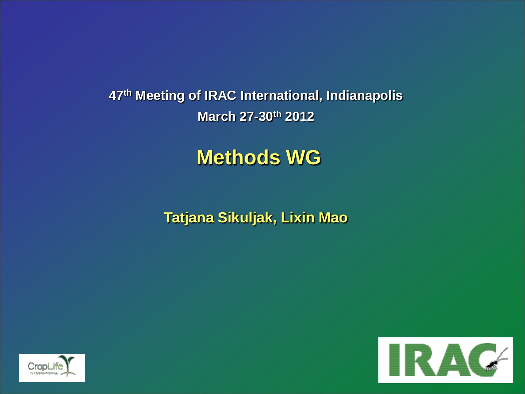**47th Meeting of IRAC International, Indianapolis March 27-30th 2012**

# **Methods WG**

**Tatjana Sikuljak, Lixin Mao**



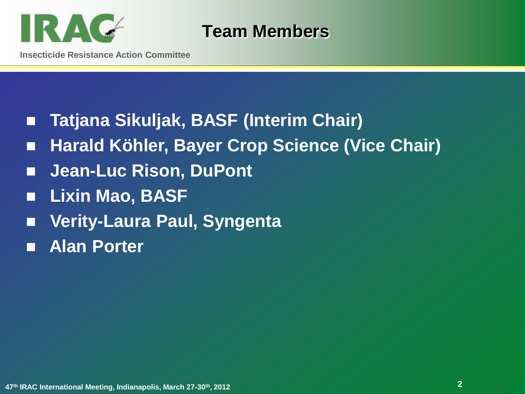

**Team Members**

- **Tatjana Sikuljak, BASF (Interim Chair)**
- Harald Köhler, Bayer Crop Science (Vice Chair)
- Jean-Luc Rison, DuPont
- **Lixin Mao, BASF**
- **Verity-Laura Paul, Syngenta**
- **Alan Porter**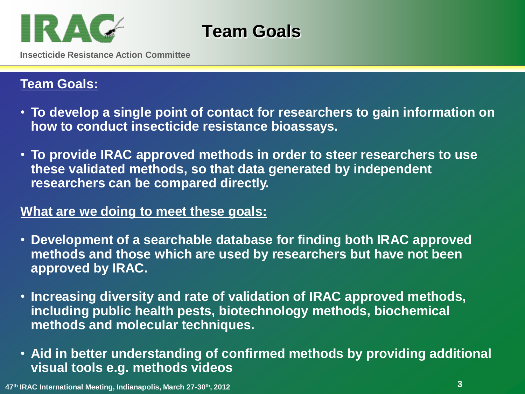

**Team Goals**

**Insecticide Resistance Action Committee**

#### **Team Goals:**

- **To develop a single point of contact for researchers to gain information on how to conduct insecticide resistance bioassays.**
- **To provide IRAC approved methods in order to steer researchers to use these validated methods, so that data generated by independent researchers can be compared directly.**

#### **What are we doing to meet these goals:**

- **Development of a searchable database for finding both IRAC approved methods and those which are used by researchers but have not been approved by IRAC.**
- **Increasing diversity and rate of validation of IRAC approved methods, including public health pests, biotechnology methods, biochemical methods and molecular techniques.**
- **Aid in better understanding of confirmed methods by providing additional visual tools e.g. methods videos**

**3 <sup>47</sup>th IRAC International Meeting, Indianapolis, March 27-30th, 2012**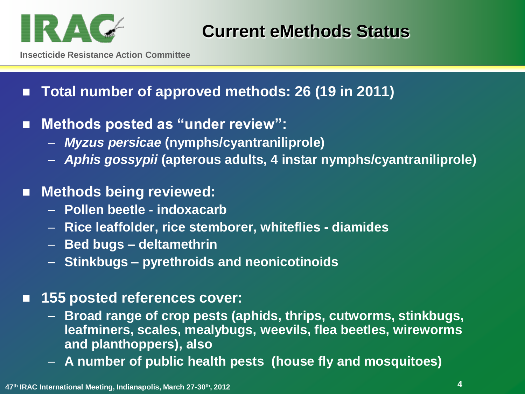

**Insecticide Resistance Action Committee**

- **Total number of approved methods: 26 (19 in 2011)**
- Methods posted as "under review":
	- *Myzus persicae* **(nymphs/cyantraniliprole)**
	- *Aphis gossypii* **(apterous adults, 4 instar nymphs/cyantraniliprole)**
- **Methods being reviewed:** 
	- **Pollen beetle - indoxacarb**
	- **Rice leaffolder, rice stemborer, whiteflies - diamides**
	- **Bed bugs – deltamethrin**
	- **Stinkbugs – pyrethroids and neonicotinoids**
- **155 posted references cover:**
	- **Broad range of crop pests (aphids, thrips, cutworms, stinkbugs, leafminers, scales, mealybugs, weevils, flea beetles, wireworms and planthoppers), also**
	- **A number of public health pests (house fly and mosquitoes)**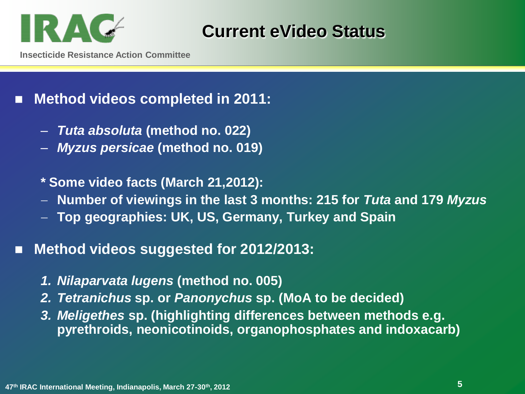

### **Current eVideo Status**

**Insecticide Resistance Action Committee**

### ■ Method videos completed in 2011:

- *Tuta absoluta* **(method no. 022)**
- *Myzus persicae* **(method no. 019)**
- **\* Some video facts (March 21,2012):**
- **Number of viewings in the last 3 months: 215 for** *Tuta* **and 179** *Myzus*
- **Top geographies: UK, US, Germany, Turkey and Spain**

### **Method videos suggested for 2012/2013:**

- *1. Nilaparvata lugens* **(method no. 005)**
- *2. Tetranichus* **sp. or** *Panonychus* **sp. (MoA to be decided)**
- *3. Meligethes* **sp. (highlighting differences between methods e.g. pyrethroids, neonicotinoids, organophosphates and indoxacarb)**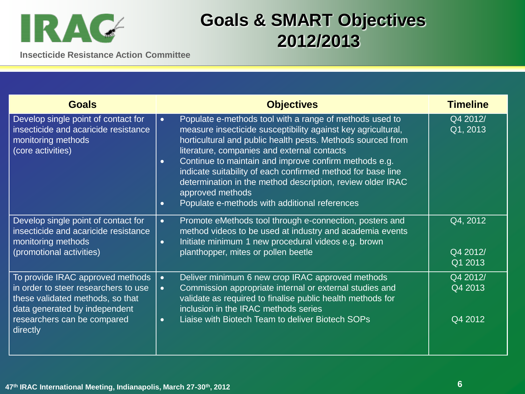

## **Goals & SMART Objectives 2012/2013**

**Insecticide Resistance Action Committee**

| <b>Goals</b>                                                                                                                                                                             | <b>Objectives</b>                                                                                                                                                                                                                                                                                                                                                                                                                                                                                                                       | <b>Timeline</b>                 |
|------------------------------------------------------------------------------------------------------------------------------------------------------------------------------------------|-----------------------------------------------------------------------------------------------------------------------------------------------------------------------------------------------------------------------------------------------------------------------------------------------------------------------------------------------------------------------------------------------------------------------------------------------------------------------------------------------------------------------------------------|---------------------------------|
| Develop single point of contact for<br>insecticide and acaricide resistance<br>monitoring methods<br>(core activities)                                                                   | Populate e-methods tool with a range of methods used to<br>$\bullet$<br>measure insecticide susceptibility against key agricultural,<br>horticultural and public health pests. Methods sourced from<br>literature, companies and external contacts<br>Continue to maintain and improve confirm methods e.g.<br>$\bullet$<br>indicate suitability of each confirmed method for base line<br>determination in the method description, review older IRAC<br>approved methods<br>Populate e-methods with additional references<br>$\bullet$ | Q4 2012/<br>Q1, 2013            |
| Develop single point of contact for<br>insecticide and acaricide resistance<br>monitoring methods<br>(promotional activities)                                                            | Promote eMethods tool through e-connection, posters and<br>$\bullet$<br>method videos to be used at industry and academia events<br>Initiate minimum 1 new procedural videos e.g. brown<br>$\bullet$<br>planthopper, mites or pollen beetle                                                                                                                                                                                                                                                                                             | Q4, 2012<br>Q4 2012/<br>Q1 2013 |
| To provide IRAC approved methods<br>in order to steer researchers to use<br>these validated methods, so that<br>data generated by independent<br>researchers can be compared<br>directly | Deliver minimum 6 new crop IRAC approved methods<br>$\bullet$<br>Commission appropriate internal or external studies and<br>$\bullet$<br>validate as required to finalise public health methods for<br>inclusion in the IRAC methods series<br>Liaise with Biotech Team to deliver Biotech SOPs<br>$\bullet$                                                                                                                                                                                                                            | Q4 2012/<br>Q4 2013<br>Q4 2012  |